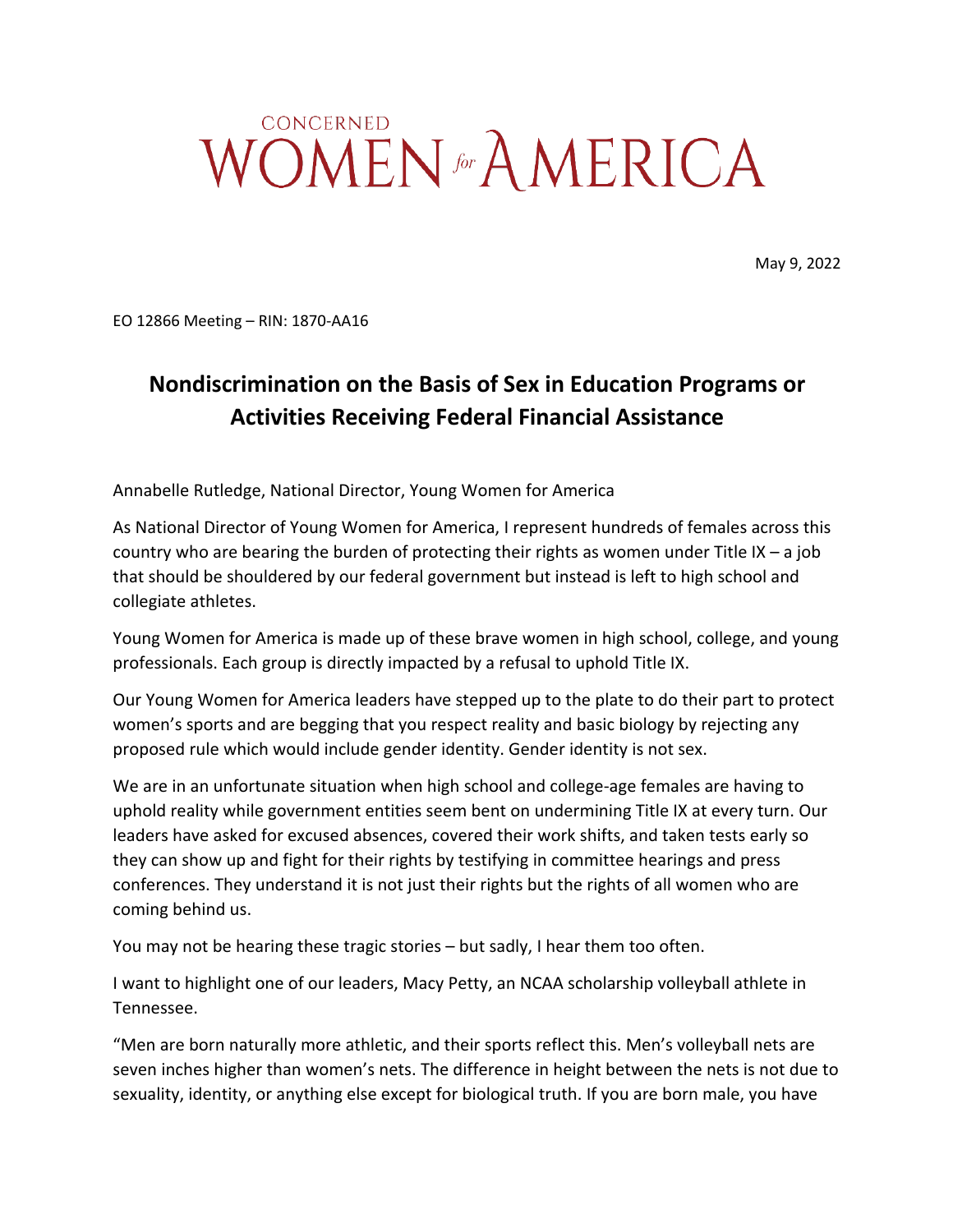## CONCERNED WOMEN<sup> for</sup> AMERICA

May 9, 2022

EO 12866 Meeting – RIN: 1870-AA16

## **Nondiscrimination on the Basis of Sex in Education Programs or Activities Receiving Federal Financial Assistance**

Annabelle Rutledge, National Director, Young Women for America

As National Director of Young Women for America, I represent hundreds of females across this country who are bearing the burden of protecting their rights as women under Title IX – a job that should be shouldered by our federal government but instead is left to high school and collegiate athletes.

Young Women for America is made up of these brave women in high school, college, and young professionals. Each group is directly impacted by a refusal to uphold Title IX.

Our Young Women for America leaders have stepped up to the plate to do their part to protect women's sports and are begging that you respect reality and basic biology by rejecting any proposed rule which would include gender identity. Gender identity is not sex.

We are in an unfortunate situation when high school and college-age females are having to uphold reality while government entities seem bent on undermining Title IX at every turn. Our leaders have asked for excused absences, covered their work shifts, and taken tests early so they can show up and fight for their rights by testifying in committee hearings and press conferences. They understand it is not just their rights but the rights of all women who are coming behind us.

You may not be hearing these tragic stories – but sadly, I hear them too often.

I want to highlight one of our leaders, Macy Petty, an NCAA scholarship volleyball athlete in Tennessee.

"Men are born naturally more athletic, and their sports reflect this. Men's volleyball nets are seven inches higher than women's nets. The difference in height between the nets is not due to sexuality, identity, or anything else except for biological truth. If you are born male, you have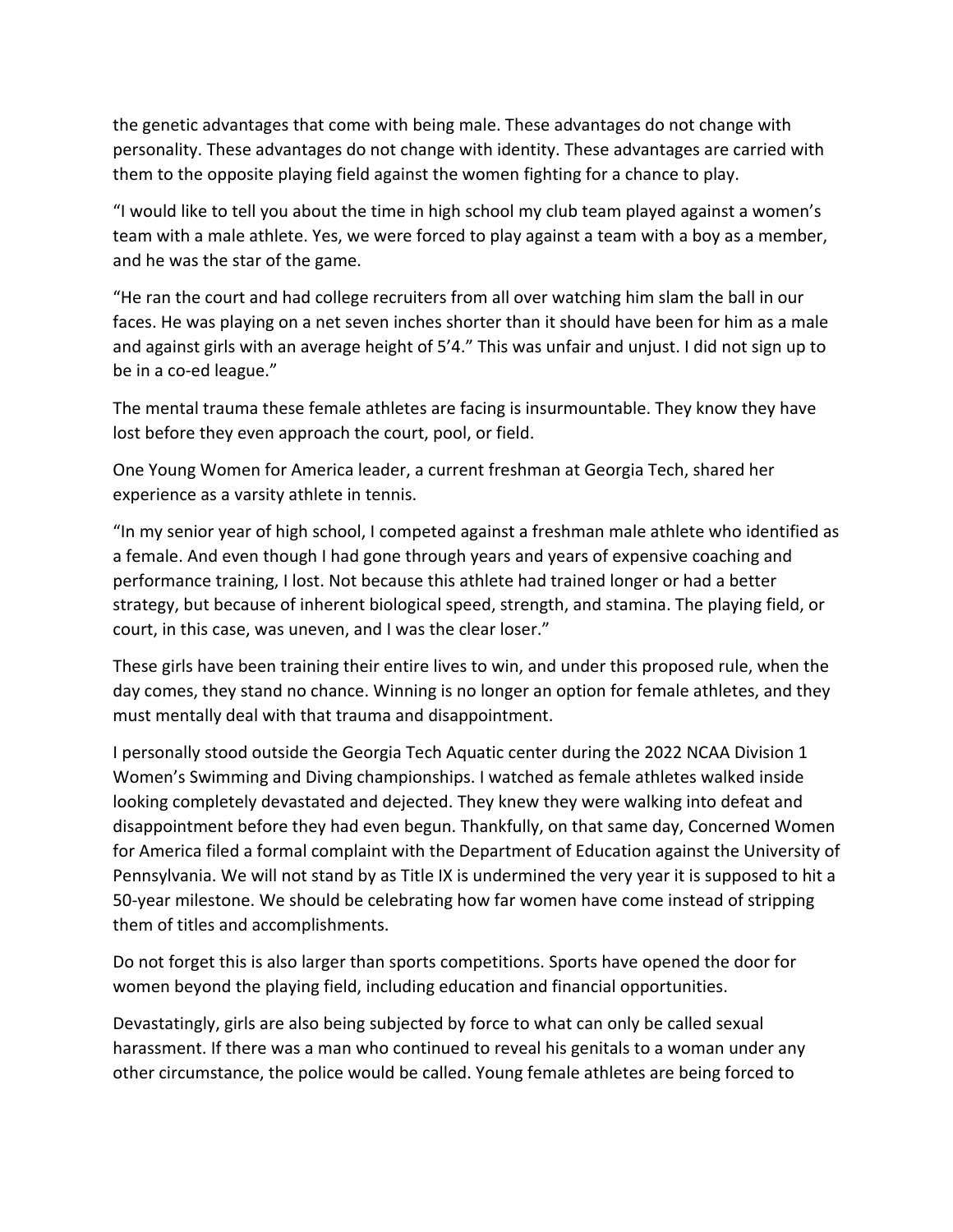the genetic advantages that come with being male. These advantages do not change with personality. These advantages do not change with identity. These advantages are carried with them to the opposite playing field against the women fighting for a chance to play.

"I would like to tell you about the time in high school my club team played against a women's team with a male athlete. Yes, we were forced to play against a team with a boy as a member, and he was the star of the game.

"He ran the court and had college recruiters from all over watching him slam the ball in our faces. He was playing on a net seven inches shorter than it should have been for him as a male and against girls with an average height of 5'4." This was unfair and unjust. I did not sign up to be in a co-ed league."

The mental trauma these female athletes are facing is insurmountable. They know they have lost before they even approach the court, pool, or field.

One Young Women for America leader, a current freshman at Georgia Tech, shared her experience as a varsity athlete in tennis.

"In my senior year of high school, I competed against a freshman male athlete who identified as a female. And even though I had gone through years and years of expensive coaching and performance training, I lost. Not because this athlete had trained longer or had a better strategy, but because of inherent biological speed, strength, and stamina. The playing field, or court, in this case, was uneven, and I was the clear loser."

These girls have been training their entire lives to win, and under this proposed rule, when the day comes, they stand no chance. Winning is no longer an option for female athletes, and they must mentally deal with that trauma and disappointment.

I personally stood outside the Georgia Tech Aquatic center during the 2022 NCAA Division 1 Women's Swimming and Diving championships. I watched as female athletes walked inside looking completely devastated and dejected. They knew they were walking into defeat and disappointment before they had even begun. Thankfully, on that same day, Concerned Women for America filed a formal complaint with the Department of Education against the University of Pennsylvania. We will not stand by as Title IX is undermined the very year it is supposed to hit a 50-year milestone. We should be celebrating how far women have come instead of stripping them of titles and accomplishments.

Do not forget this is also larger than sports competitions. Sports have opened the door for women beyond the playing field, including education and financial opportunities.

Devastatingly, girls are also being subjected by force to what can only be called sexual harassment. If there was a man who continued to reveal his genitals to a woman under any other circumstance, the police would be called. Young female athletes are being forced to